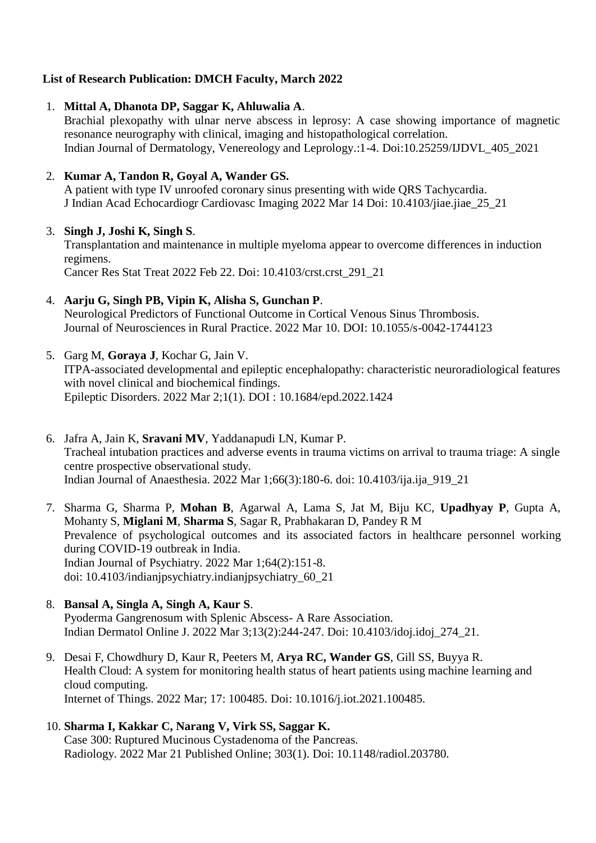### **List of Research Publication: DMCH Faculty, March 2022**

### 1. **Mittal A, Dhanota DP, Saggar K, Ahluwalia A**.

Brachial plexopathy with ulnar nerve abscess in leprosy: A case showing importance of magnetic resonance neurography with clinical, imaging and histopathological correlation. Indian Journal of Dermatology, Venereology and Leprology.:1-4. Doi:10.25259/IJDVL\_405\_2021

## 2. **Kumar A, Tandon R, Goyal A, Wander GS.**

A patient with type IV unroofed coronary sinus presenting with wide QRS Tachycardia. J Indian Acad Echocardiogr Cardiovasc Imaging 2022 Mar 14 Doi: 10.4103/jiae.jiae\_25\_21

## 3. **Singh J, Joshi K, Singh S**.

Transplantation and maintenance in multiple myeloma appear to overcome differences in induction regimens.

Cancer Res Stat Treat 2022 Feb 22. Doi: 10.4103/crst.crst\_291\_21

# 4. **Aarju G, Singh PB, Vipin K, Alisha S, Gunchan P**.

Neurological Predictors of Functional Outcome in Cortical Venous Sinus Thrombosis. Journal of Neurosciences in Rural Practice. 2022 Mar 10. DOI: 10.1055/s-0042-1744123

## 5. Garg M, **Goraya J**, Kochar G, Jain V.

ITPA-associated developmental and epileptic encephalopathy: characteristic neuroradiological features with novel clinical and biochemical findings. Epileptic Disorders. 2022 Mar 2;1(1). DOI : 10.1684/epd.2022.1424

- 6. Jafra A, Jain K, **Sravani MV**, Yaddanapudi LN, Kumar P. Tracheal intubation practices and adverse events in trauma victims on arrival to trauma triage: A single centre prospective observational study. Indian Journal of Anaesthesia. 2022 Mar 1;66(3):180-6. doi: 10.4103/ija.ija\_919\_21
- 7. Sharma G, Sharma P, **Mohan B**, Agarwal A, Lama S, Jat M, Biju KC, **Upadhyay P**, Gupta A, Mohanty S, **Miglani M**, **Sharma S**, Sagar R, Prabhakaran D, Pandey R M Prevalence of psychological outcomes and its associated factors in healthcare personnel working during COVID-19 outbreak in India. Indian Journal of Psychiatry. 2022 Mar 1;64(2):151-8. doi: 10.4103/indianjpsychiatry.indianjpsychiatry\_60\_21

# 8. **Bansal A, Singla A, Singh A, Kaur S**.

Pyoderma Gangrenosum with Splenic Abscess- A Rare Association. Indian Dermatol Online J. 2022 Mar 3;13(2):244-247. Doi: 10.4103/idoj.idoj\_274\_21.

9. Desai F, Chowdhury D, Kaur R, Peeters M, **Arya RC, Wander GS**, Gill SS, Buyya R. Health Cloud: A system for monitoring health status of heart patients using machine learning and cloud computing. Internet of Things. 2022 Mar; 17: 100485. Doi: 10.1016/j.iot.2021.100485.

### 10. **Sharma I, Kakkar C, Narang V, Virk SS, Saggar K.** Case 300: Ruptured Mucinous Cystadenoma of the Pancreas.

Radiology. 2022 Mar 21 Published Online; 303(1). Doi: 10.1148/radiol.203780.